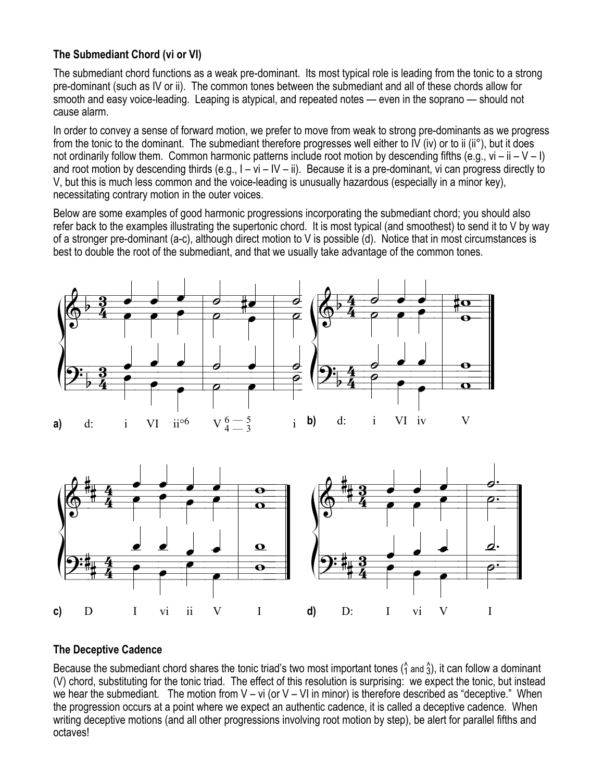## **The Submediant Chord (vi or VI)**

The submediant chord functions as a weak pre-dominant. Its most typical role is leading from the tonic to a strong pre-dominant (such as IV or ii). The common tones between the submediant and all of these chords allow for smooth and easy voice-leading. Leaping is atypical, and repeated notes — even in the soprano — should not cause alarm.

In order to convey a sense of forward motion, we prefer to move from weak to strong pre-dominants as we progress from the tonic to the dominant. The submediant therefore progresses well either to IV (iv) or to ii (ii°), but it does not ordinarily follow them. Common harmonic patterns include root motion by descending fifths (e.g.,  $vi - ii - V - I$ ) and root motion by descending thirds (e.g.,  $I - vi - IV - ii$ ). Because it is a pre-dominant, vi can progress directly to V, but this is much less common and the voice-leading is unusually hazardous (especially in a minor key), necessitating contrary motion in the outer voices.

Below are some examples of good harmonic progressions incorporating the submediant chord; you should also refer back to the examples illustrating the supertonic chord. It is most typical (and smoothest) to send it to V by way of a stronger pre-dominant (a-c), although direct motion to V is possible (d). Notice that in most circumstances is best to double the root of the submediant, and that we usually take advantage of the common tones.



## **The Deceptive Cadence**

Because the submediant chord shares the tonic triad's two most important tones ( $\hat{1}$  and  $\hat{3}$ ), it can follow a dominant (V) chord, substituting for the tonic triad. The effect of this resolution is surprising: we expect the tonic, but instead we hear the submediant. The motion from  $V - vi$  (or  $V - VI$  in minor) is therefore described as "deceptive." When the progression occurs at a point where we expect an authentic cadence, it is called a deceptive cadence. When writing deceptive motions (and all other progressions involving root motion by step), be alert for parallel fifths and octaves!